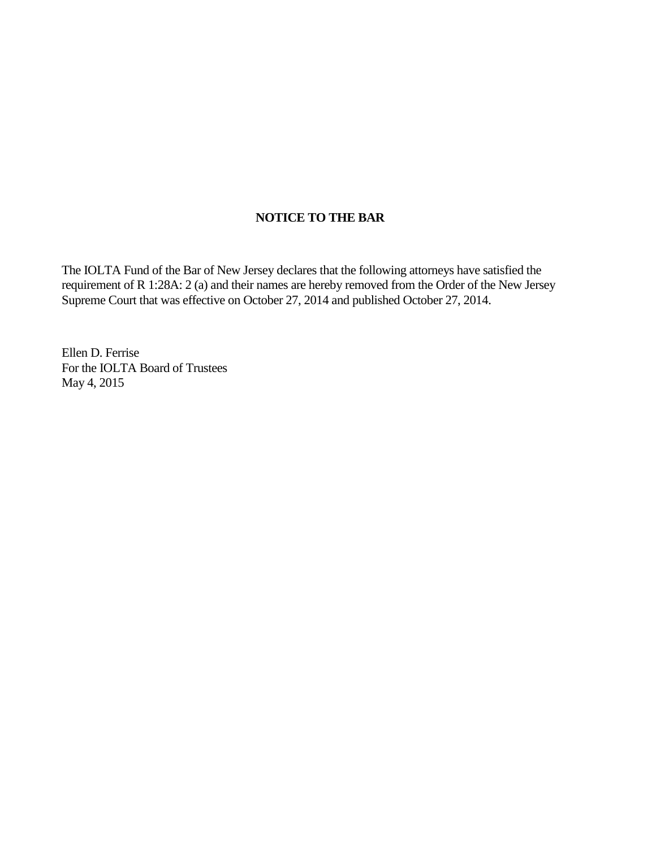## **NOTICE TO THE BAR**

The IOLTA Fund of the Bar of New Jersey declares that the following attorneys have satisfied the requirement of R 1:28A: 2 (a) and their names are hereby removed from the Order of the New Jersey Supreme Court that was effective on October 27, 2014 and published October 27, 2014.

Ellen D. Ferrise For the IOLTA Board of Trustees May 4, 2015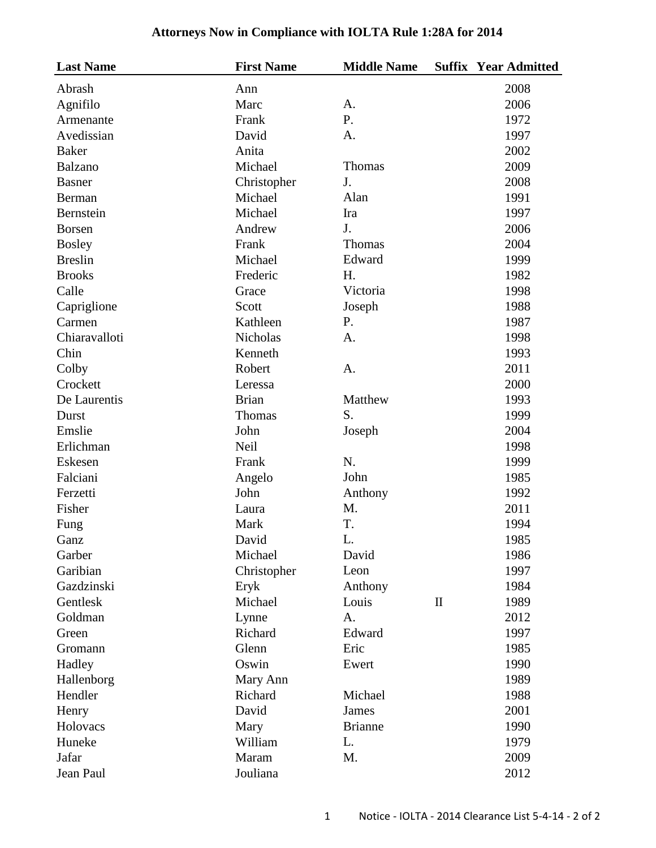## **Attorneys Now in Compliance with IOLTA Rule 1:28A for 2014**

| <b>Last Name</b> | <b>First Name</b> | <b>Middle Name</b> |              | <b>Suffix Year Admitted</b> |
|------------------|-------------------|--------------------|--------------|-----------------------------|
| Abrash           | Ann               |                    |              | 2008                        |
| Agnifilo         | Marc              | A.                 |              | 2006                        |
| Armenante        | Frank             | P.                 |              | 1972                        |
| Avedissian       | David             | A.                 |              | 1997                        |
| <b>Baker</b>     | Anita             |                    |              | 2002                        |
| Balzano          | Michael           | Thomas             |              | 2009                        |
| <b>Basner</b>    | Christopher       | J.                 |              | 2008                        |
| Berman           | Michael           | Alan               |              | 1991                        |
| Bernstein        | Michael           | Ira                |              | 1997                        |
| <b>Borsen</b>    | Andrew            | J.                 |              | 2006                        |
| <b>Bosley</b>    | Frank             | Thomas             |              | 2004                        |
| <b>Breslin</b>   | Michael           | Edward             |              | 1999                        |
| <b>Brooks</b>    | Frederic          | H.                 |              | 1982                        |
| Calle            | Grace             | Victoria           |              | 1998                        |
| Capriglione      | Scott             | Joseph             |              | 1988                        |
| Carmen           | Kathleen          | P.                 |              | 1987                        |
| Chiaravalloti    | Nicholas          | A.                 |              | 1998                        |
| Chin             | Kenneth           |                    |              | 1993                        |
| Colby            | Robert            | A.                 |              | 2011                        |
| Crockett         | Leressa           |                    |              | 2000                        |
| De Laurentis     | <b>Brian</b>      | Matthew            |              | 1993                        |
| Durst            | Thomas            | S.                 |              | 1999                        |
| Emslie           | John              | Joseph             |              | 2004                        |
| Erlichman        | <b>Neil</b>       |                    |              | 1998                        |
| Eskesen          | Frank             | N.                 |              | 1999                        |
| Falciani         | Angelo            | John               |              | 1985                        |
| Ferzetti         | John              | Anthony            |              | 1992                        |
| Fisher           | Laura             | M.                 |              | 2011                        |
| Fung             | Mark              | T.                 |              | 1994                        |
| Ganz             | David             | L.                 |              | 1985                        |
| Garber           | Michael           | David              |              | 1986                        |
| Garibian         | Christopher       | Leon               |              | 1997                        |
| Gazdzinski       | Eryk              | Anthony            |              | 1984                        |
| Gentlesk         | Michael           | Louis              | $\mathbf{I}$ | 1989                        |
| Goldman          | Lynne             | A.                 |              | 2012                        |
| Green            | Richard           | Edward             |              | 1997                        |
| Gromann          | Glenn             | Eric               |              | 1985                        |
| Hadley           | Oswin             | Ewert              |              | 1990                        |
| Hallenborg       | Mary Ann          |                    |              | 1989                        |
| Hendler          | Richard           | Michael            |              | 1988                        |
| Henry            | David             | James              |              | 2001                        |
| Holovacs         | Mary              | <b>Brianne</b>     |              | 1990                        |
| Huneke           | William           | L.                 |              | 1979                        |
| Jafar            | Maram             | M.                 |              | 2009                        |
| Jean Paul        | Jouliana          |                    |              | 2012                        |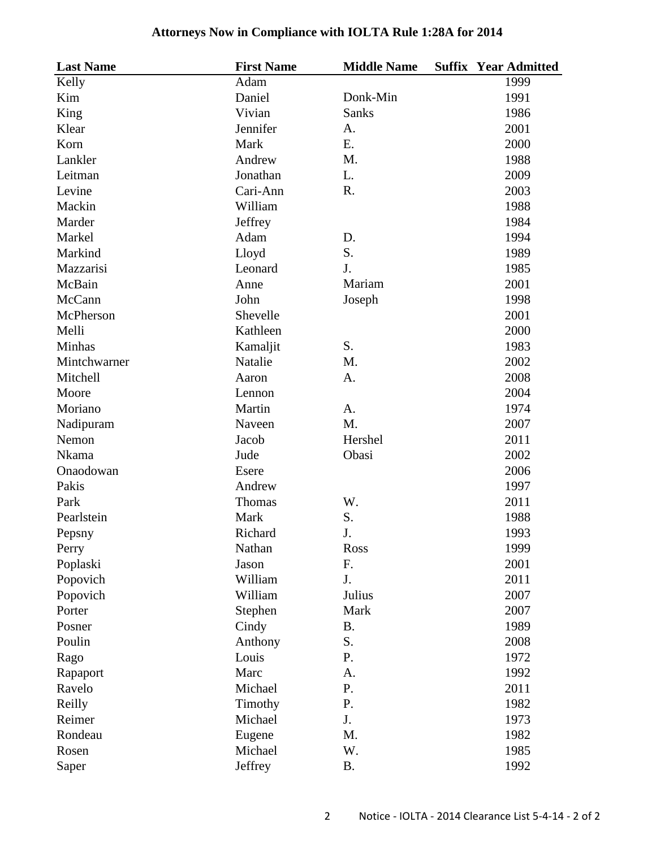## **Attorneys Now in Compliance with IOLTA Rule 1:28A for 2014**

| <b>Last Name</b> | <b>First Name</b> | <b>Middle Name</b> | <b>Suffix Year Admitted</b> |
|------------------|-------------------|--------------------|-----------------------------|
| Kelly            | Adam              |                    | 1999                        |
| Kim              | Daniel            | Donk-Min           | 1991                        |
| King             | Vivian            | <b>Sanks</b>       | 1986                        |
| Klear            | Jennifer          | A.                 | 2001                        |
| Korn             | Mark              | E.                 | 2000                        |
| Lankler          | Andrew            | M.                 | 1988                        |
| Leitman          | Jonathan          | L.                 | 2009                        |
| Levine           | Cari-Ann          | R.                 | 2003                        |
| Mackin           | William           |                    | 1988                        |
| Marder           | Jeffrey           |                    | 1984                        |
| Markel           | Adam              | D.                 | 1994                        |
| Markind          | Lloyd             | S.                 | 1989                        |
| Mazzarisi        | Leonard           | J.                 | 1985                        |
| McBain           | Anne              | Mariam             | 2001                        |
| McCann           | John              | Joseph             | 1998                        |
| McPherson        | Shevelle          |                    | 2001                        |
| Melli            | Kathleen          |                    | 2000                        |
| Minhas           | Kamaljit          | S.                 | 1983                        |
| Mintchwarner     | Natalie           | M.                 | 2002                        |
| Mitchell         | Aaron             | A.                 | 2008                        |
| Moore            | Lennon            |                    | 2004                        |
| Moriano          | Martin            | A.                 | 1974                        |
| Nadipuram        | Naveen            | M.                 | 2007                        |
| Nemon            | Jacob             | Hershel            | 2011                        |
| Nkama            | Jude              | Obasi              | 2002                        |
| Onaodowan        | Esere             |                    | 2006                        |
| Pakis            | Andrew            |                    | 1997                        |
| Park             | Thomas            | W.                 | 2011                        |
| Pearlstein       | Mark              | S.                 | 1988                        |
| Pepsny           | Richard           | J.                 | 1993                        |
| Perry            | Nathan            | Ross               | 1999                        |
| Poplaski         | Jason             | F.                 | 2001                        |
| Popovich         | William           | J.                 | 2011                        |
| Popovich         | William           | Julius             | 2007                        |
| Porter           | Stephen           | Mark               | 2007                        |
| Posner           | Cindy             | <b>B.</b>          | 1989                        |
| Poulin           | Anthony           | S.                 | 2008                        |
| Rago             | Louis             | P.                 | 1972                        |
| Rapaport         | Marc              | A.                 | 1992                        |
| Ravelo           | Michael           | P.                 | 2011                        |
| Reilly           | Timothy           | P.                 | 1982                        |
| Reimer           | Michael           | J.                 | 1973                        |
| Rondeau          | Eugene            | M.                 | 1982                        |
| Rosen            | Michael           | W.                 | 1985                        |
| Saper            | Jeffrey           | <b>B.</b>          | 1992                        |
|                  |                   |                    |                             |